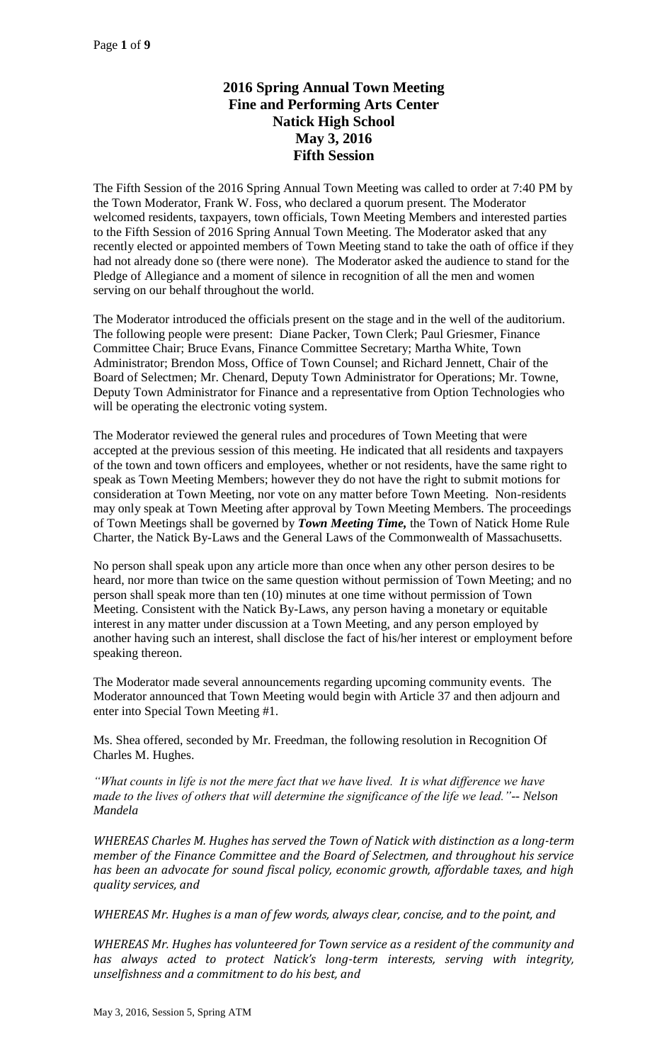# **2016 Spring Annual Town Meeting Fine and Performing Arts Center Natick High School May 3, 2016 Fifth Session**

The Fifth Session of the 2016 Spring Annual Town Meeting was called to order at 7:40 PM by the Town Moderator, Frank W. Foss, who declared a quorum present. The Moderator welcomed residents, taxpayers, town officials, Town Meeting Members and interested parties to the Fifth Session of 2016 Spring Annual Town Meeting. The Moderator asked that any recently elected or appointed members of Town Meeting stand to take the oath of office if they had not already done so (there were none). The Moderator asked the audience to stand for the Pledge of Allegiance and a moment of silence in recognition of all the men and women serving on our behalf throughout the world.

The Moderator introduced the officials present on the stage and in the well of the auditorium. The following people were present: Diane Packer, Town Clerk; Paul Griesmer, Finance Committee Chair; Bruce Evans, Finance Committee Secretary; Martha White, Town Administrator; Brendon Moss, Office of Town Counsel; and Richard Jennett, Chair of the Board of Selectmen; Mr. Chenard, Deputy Town Administrator for Operations; Mr. Towne, Deputy Town Administrator for Finance and a representative from Option Technologies who will be operating the electronic voting system.

The Moderator reviewed the general rules and procedures of Town Meeting that were accepted at the previous session of this meeting. He indicated that all residents and taxpayers of the town and town officers and employees, whether or not residents, have the same right to speak as Town Meeting Members; however they do not have the right to submit motions for consideration at Town Meeting, nor vote on any matter before Town Meeting. Non-residents may only speak at Town Meeting after approval by Town Meeting Members. The proceedings of Town Meetings shall be governed by *Town Meeting Time,* the Town of Natick Home Rule Charter, the Natick By-Laws and the General Laws of the Commonwealth of Massachusetts.

No person shall speak upon any article more than once when any other person desires to be heard, nor more than twice on the same question without permission of Town Meeting; and no person shall speak more than ten (10) minutes at one time without permission of Town Meeting. Consistent with the Natick By-Laws, any person having a monetary or equitable interest in any matter under discussion at a Town Meeting, and any person employed by another having such an interest, shall disclose the fact of his/her interest or employment before speaking thereon.

The Moderator made several announcements regarding upcoming community events. The Moderator announced that Town Meeting would begin with Article 37 and then adjourn and enter into Special Town Meeting #1.

Ms. Shea offered, seconded by Mr. Freedman, the following resolution in Recognition Of Charles M. Hughes.

*"What counts in life is not the mere fact that we have lived. It is what difference we have made to the lives of others that will determine the significance of the life we lead."-- Nelson Mandela* 

*WHEREAS Charles M. Hughes has served the Town of Natick with distinction as a long-term member of the Finance Committee and the Board of Selectmen, and throughout his service has been an advocate for sound fiscal policy, economic growth, affordable taxes, and high quality services, and*

*WHEREAS Mr. Hughes is a man of few words, always clear, concise, and to the point, and*

*WHEREAS Mr. Hughes has volunteered for Town service as a resident of the community and has always acted to protect Natick's long-term interests, serving with integrity, unselfishness and a commitment to do his best, and*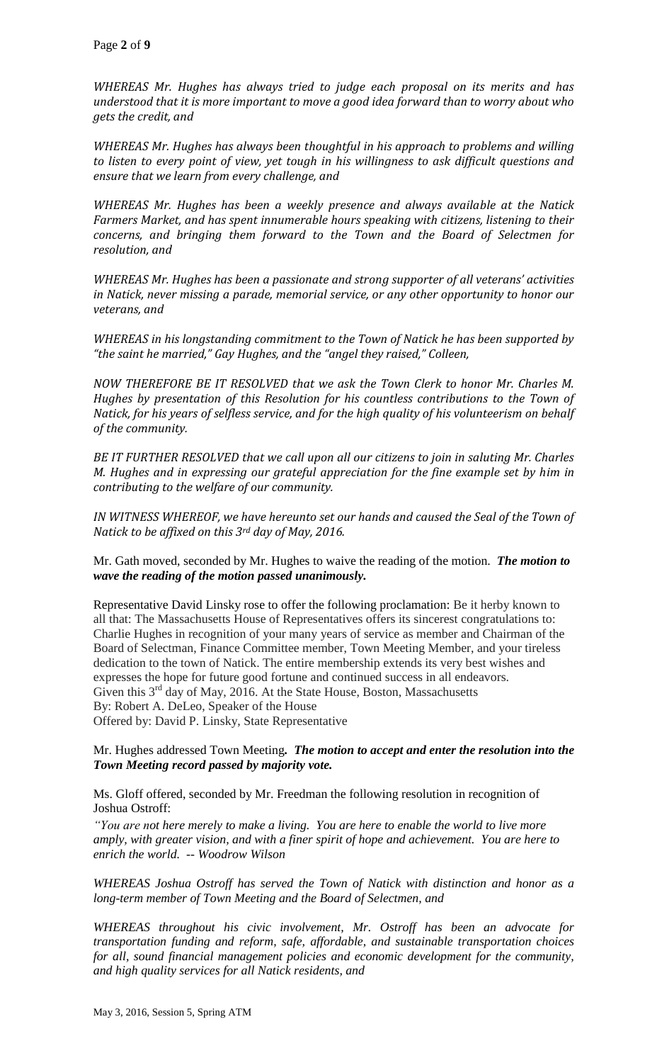*WHEREAS Mr. Hughes has always tried to judge each proposal on its merits and has understood that it is more important to move a good idea forward than to worry about who gets the credit, and*

*WHEREAS Mr. Hughes has always been thoughtful in his approach to problems and willing to listen to every point of view, yet tough in his willingness to ask difficult questions and ensure that we learn from every challenge, and* 

*WHEREAS Mr. Hughes has been a weekly presence and always available at the Natick Farmers Market, and has spent innumerable hours speaking with citizens, listening to their concerns, and bringing them forward to the Town and the Board of Selectmen for resolution, and* 

*WHEREAS Mr. Hughes has been a passionate and strong supporter of all veterans' activities in Natick, never missing a parade, memorial service, or any other opportunity to honor our veterans, and*

*WHEREAS in his longstanding commitment to the Town of Natick he has been supported by "the saint he married," Gay Hughes, and the "angel they raised," Colleen,*

*NOW THEREFORE BE IT RESOLVED that we ask the Town Clerk to honor Mr. Charles M. Hughes by presentation of this Resolution for his countless contributions to the Town of Natick, for his years of selfless service, and for the high quality of his volunteerism on behalf of the community.* 

*BE IT FURTHER RESOLVED that we call upon all our citizens to join in saluting Mr. Charles M. Hughes and in expressing our grateful appreciation for the fine example set by him in contributing to the welfare of our community.*

*IN WITNESS WHEREOF, we have hereunto set our hands and caused the Seal of the Town of Natick to be affixed on this 3rd day of May, 2016.*

Mr. Gath moved, seconded by Mr. Hughes to waive the reading of the motion. *The motion to wave the reading of the motion passed unanimously.* 

Representative David Linsky rose to offer the following proclamation: Be it herby known to all that: The Massachusetts House of Representatives offers its sincerest congratulations to: Charlie Hughes in recognition of your many years of service as member and Chairman of the Board of Selectman, Finance Committee member, Town Meeting Member, and your tireless dedication to the town of Natick. The entire membership extends its very best wishes and expresses the hope for future good fortune and continued success in all endeavors. Given this  $3<sup>rd</sup>$  day of May, 2016. At the State House, Boston, Massachusetts By: Robert A. DeLeo, Speaker of the House Offered by: David P. Linsky, State Representative

#### Mr. Hughes addressed Town Meeting*. The motion to accept and enter the resolution into the Town Meeting record passed by majority vote.*

Ms. Gloff offered, seconded by Mr. Freedman the following resolution in recognition of Joshua Ostroff:

*"You are not here merely to make a living. You are here to enable the world to live more amply, with greater vision, and with a finer spirit of hope and achievement. You are here to enrich the world. -- Woodrow Wilson*

*WHEREAS Joshua Ostroff has served the Town of Natick with distinction and honor as a long-term member of Town Meeting and the Board of Selectmen, and*

*WHEREAS throughout his civic involvement, Mr. Ostroff has been an advocate for transportation funding and reform, safe, affordable, and sustainable transportation choices for all, sound financial management policies and economic development for the community, and high quality services for all Natick residents, and*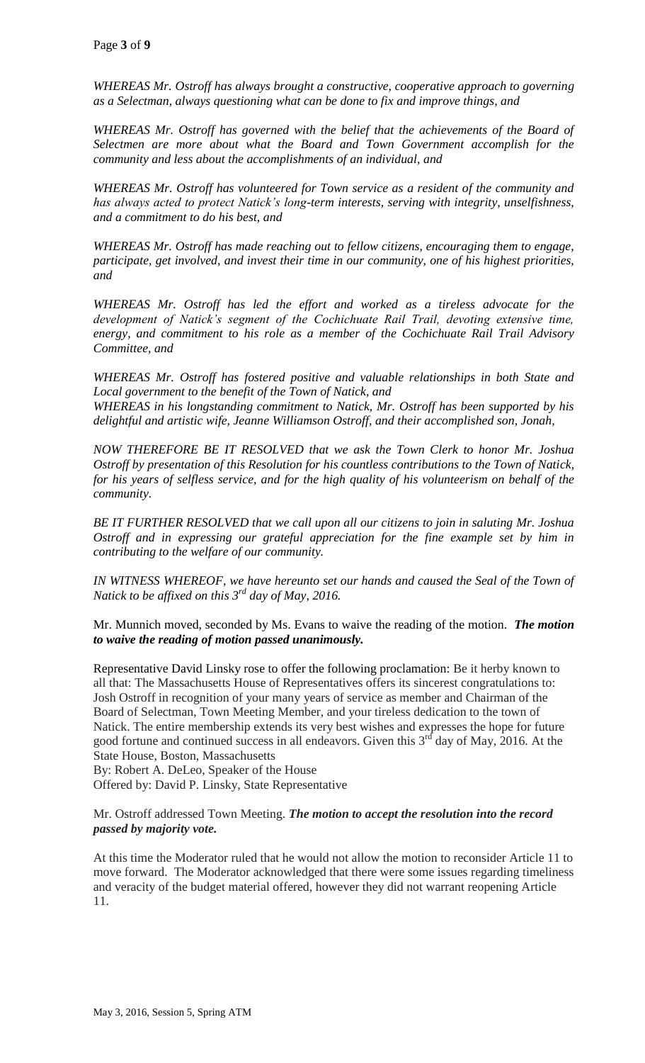*WHEREAS Mr. Ostroff has always brought a constructive, cooperative approach to governing as a Selectman, always questioning what can be done to fix and improve things, and*

WHEREAS Mr. Ostroff has governed with the belief that the achievements of the Board of *Selectmen are more about what the Board and Town Government accomplish for the community and less about the accomplishments of an individual, and*

*WHEREAS Mr. Ostroff has volunteered for Town service as a resident of the community and has always acted to protect Natick's long-term interests, serving with integrity, unselfishness, and a commitment to do his best, and* 

*WHEREAS Mr. Ostroff has made reaching out to fellow citizens, encouraging them to engage, participate, get involved, and invest their time in our community, one of his highest priorities, and*

*WHEREAS Mr. Ostroff has led the effort and worked as a tireless advocate for the development of Natick's segment of the Cochichuate Rail Trail, devoting extensive time, energy, and commitment to his role as a member of the Cochichuate Rail Trail Advisory Committee, and*

*WHEREAS Mr. Ostroff has fostered positive and valuable relationships in both State and Local government to the benefit of the Town of Natick, and WHEREAS in his longstanding commitment to Natick, Mr. Ostroff has been supported by his delightful and artistic wife, Jeanne Williamson Ostroff, and their accomplished son, Jonah,*

*NOW THEREFORE BE IT RESOLVED that we ask the Town Clerk to honor Mr. Joshua Ostroff by presentation of this Resolution for his countless contributions to the Town of Natick, for his years of selfless service, and for the high quality of his volunteerism on behalf of the community.* 

*BE IT FURTHER RESOLVED that we call upon all our citizens to join in saluting Mr. Joshua Ostroff and in expressing our grateful appreciation for the fine example set by him in contributing to the welfare of our community.*

IN WITNESS WHEREOF, we have hereunto set our hands and caused the Seal of the Town of *Natick to be affixed on this 3rd day of May, 2016.*

Mr. Munnich moved, seconded by Ms. Evans to waive the reading of the motion. *The motion to waive the reading of motion passed unanimously.* 

Representative David Linsky rose to offer the following proclamation: Be it herby known to all that: The Massachusetts House of Representatives offers its sincerest congratulations to: Josh Ostroff in recognition of your many years of service as member and Chairman of the Board of Selectman, Town Meeting Member, and your tireless dedication to the town of Natick. The entire membership extends its very best wishes and expresses the hope for future good fortune and continued success in all endeavors. Given this  $3<sup>rd</sup>$  day of May, 2016. At the State House, Boston, Massachusetts

By: Robert A. DeLeo, Speaker of the House

Offered by: David P. Linsky, State Representative

#### Mr. Ostroff addressed Town Meeting. *The motion to accept the resolution into the record passed by majority vote.*

At this time the Moderator ruled that he would not allow the motion to reconsider Article 11 to move forward. The Moderator acknowledged that there were some issues regarding timeliness and veracity of the budget material offered, however they did not warrant reopening Article 11.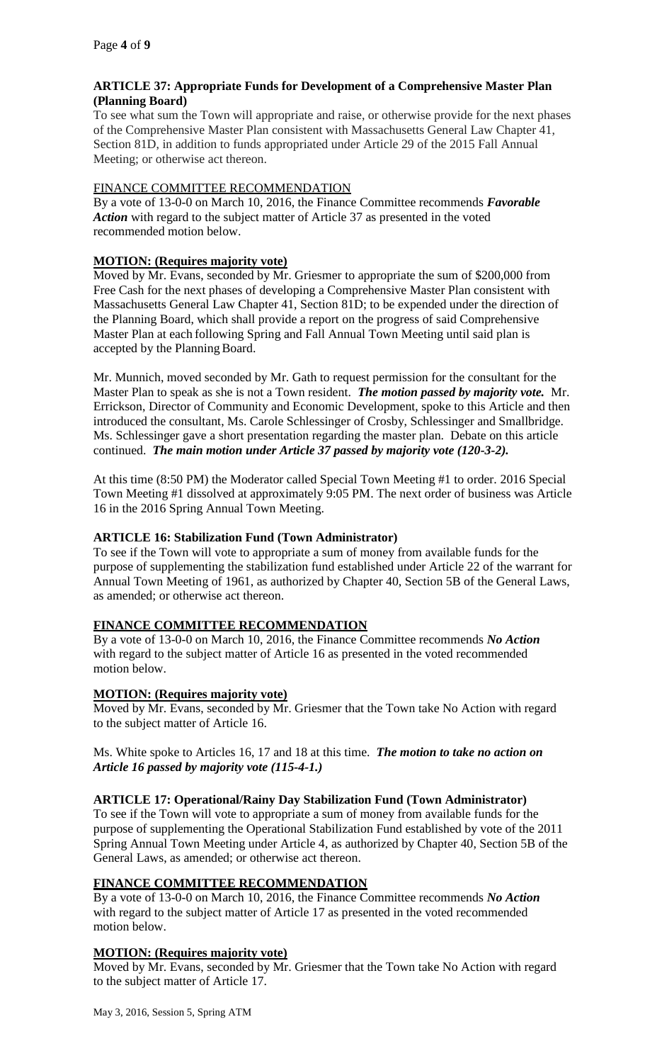## **ARTICLE 37: Appropriate Funds for Development of a Comprehensive Master Plan (Planning Board)**

To see what sum the Town will appropriate and raise, or otherwise provide for the next phases of the Comprehensive Master Plan consistent with Massachusetts General Law Chapter 41, Section 81D, in addition to funds appropriated under Article 29 of the 2015 Fall Annual Meeting; or otherwise act thereon.

## FINANCE COMMITTEE RECOMMENDATION

By a vote of 13-0-0 on March 10, 2016, the Finance Committee recommends *Favorable Action* with regard to the subject matter of Article 37 as presented in the voted recommended motion below.

### **MOTION: (Requires majority vote)**

Moved by Mr. Evans, seconded by Mr. Griesmer to appropriate the sum of \$200,000 from Free Cash for the next phases of developing a Comprehensive Master Plan consistent with Massachusetts General Law Chapter 41, Section 81D; to be expended under the direction of the Planning Board, which shall provide a report on the progress of said Comprehensive Master Plan at each following Spring and Fall Annual Town Meeting until said plan is accepted by the Planning Board.

Mr. Munnich, moved seconded by Mr. Gath to request permission for the consultant for the Master Plan to speak as she is not a Town resident. *The motion passed by majority vote.* Mr. Errickson, Director of Community and Economic Development, spoke to this Article and then introduced the consultant, Ms. Carole Schlessinger of Crosby, Schlessinger and Smallbridge. Ms. Schlessinger gave a short presentation regarding the master plan. Debate on this article continued. *The main motion under Article 37 passed by majority vote (120-3-2).*

At this time (8:50 PM) the Moderator called Special Town Meeting #1 to order. 2016 Special Town Meeting #1 dissolved at approximately 9:05 PM. The next order of business was Article 16 in the 2016 Spring Annual Town Meeting.

## **ARTICLE 16: Stabilization Fund (Town Administrator)**

To see if the Town will vote to appropriate a sum of money from available funds for the purpose of supplementing the stabilization fund established under Article 22 of the warrant for Annual Town Meeting of 1961, as authorized by Chapter 40, Section 5B of the General Laws, as amended; or otherwise act thereon.

## **FINANCE COMMITTEE RECOMMENDATION**

By a vote of 13-0-0 on March 10, 2016, the Finance Committee recommends *No Action*  with regard to the subject matter of Article 16 as presented in the voted recommended motion below.

## **MOTION: (Requires majority vote)**

Moved by Mr. Evans, seconded by Mr. Griesmer that the Town take No Action with regard to the subject matter of Article 16.

Ms. White spoke to Articles 16, 17 and 18 at this time. *The motion to take no action on Article 16 passed by majority vote (115-4-1.)*

#### **ARTICLE 17: Operational/Rainy Day Stabilization Fund (Town Administrator)**

To see if the Town will vote to appropriate a sum of money from available funds for the purpose of supplementing the Operational Stabilization Fund established by vote of the 2011 Spring Annual Town Meeting under Article 4, as authorized by Chapter 40, Section 5B of the General Laws, as amended; or otherwise act thereon.

#### **FINANCE COMMITTEE RECOMMENDATION**

By a vote of 13-0-0 on March 10, 2016, the Finance Committee recommends *No Action*  with regard to the subject matter of Article 17 as presented in the voted recommended motion below.

## **MOTION: (Requires majority vote)**

Moved by Mr. Evans, seconded by Mr. Griesmer that the Town take No Action with regard to the subject matter of Article 17.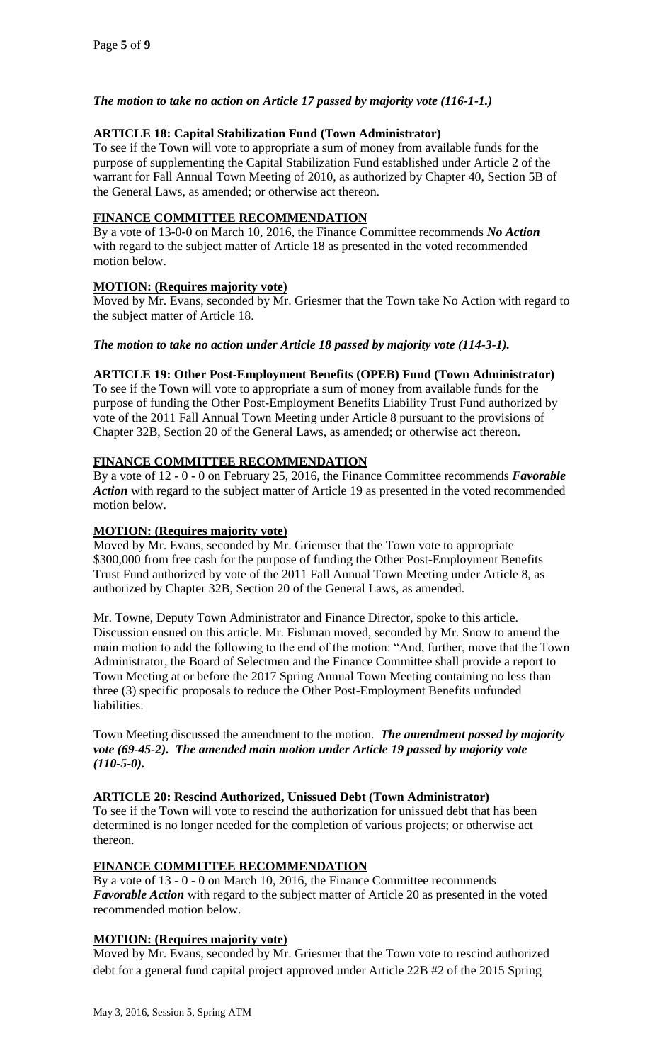## *The motion to take no action on Article 17 passed by majority vote (116-1-1.)*

### **ARTICLE 18: Capital Stabilization Fund (Town Administrator)**

To see if the Town will vote to appropriate a sum of money from available funds for the purpose of supplementing the Capital Stabilization Fund established under Article 2 of the warrant for Fall Annual Town Meeting of 2010, as authorized by Chapter 40, Section 5B of the General Laws, as amended; or otherwise act thereon.

### **FINANCE COMMITTEE RECOMMENDATION**

By a vote of 13-0-0 on March 10, 2016, the Finance Committee recommends *No Action*  with regard to the subject matter of Article 18 as presented in the voted recommended motion below.

#### **MOTION: (Requires majority vote)**

Moved by Mr. Evans, seconded by Mr. Griesmer that the Town take No Action with regard to the subject matter of Article 18.

#### *The motion to take no action under Article 18 passed by majority vote (114-3-1).*

#### **ARTICLE 19: Other Post-Employment Benefits (OPEB) Fund (Town Administrator)**

To see if the Town will vote to appropriate a sum of money from available funds for the purpose of funding the Other Post-Employment Benefits Liability Trust Fund authorized by vote of the 2011 Fall Annual Town Meeting under Article 8 pursuant to the provisions of Chapter 32B, Section 20 of the General Laws, as amended; or otherwise act thereon.

#### **FINANCE COMMITTEE RECOMMENDATION**

By a vote of 12 - 0 - 0 on February 25, 2016, the Finance Committee recommends *Favorable Action* with regard to the subject matter of Article 19 as presented in the voted recommended motion below.

#### **MOTION: (Requires majority vote)**

Moved by Mr. Evans, seconded by Mr. Griemser that the Town vote to appropriate \$300,000 from free cash for the purpose of funding the Other Post-Employment Benefits Trust Fund authorized by vote of the 2011 Fall Annual Town Meeting under Article 8, as authorized by Chapter 32B, Section 20 of the General Laws, as amended.

Mr. Towne, Deputy Town Administrator and Finance Director, spoke to this article. Discussion ensued on this article. Mr. Fishman moved, seconded by Mr. Snow to amend the main motion to add the following to the end of the motion: "And, further, move that the Town Administrator, the Board of Selectmen and the Finance Committee shall provide a report to Town Meeting at or before the 2017 Spring Annual Town Meeting containing no less than three (3) specific proposals to reduce the Other Post-Employment Benefits unfunded liabilities.

Town Meeting discussed the amendment to the motion. *The amendment passed by majority vote (69-45-2). The amended main motion under Article 19 passed by majority vote (110-5-0).*

#### **ARTICLE 20: Rescind Authorized, Unissued Debt (Town Administrator)**

To see if the Town will vote to rescind the authorization for unissued debt that has been determined is no longer needed for the completion of various projects; or otherwise act thereon.

## **FINANCE COMMITTEE RECOMMENDATION**

By a vote of 13 - 0 - 0 on March 10, 2016, the Finance Committee recommends *Favorable Action* with regard to the subject matter of Article 20 as presented in the voted recommended motion below.

## **MOTION: (Requires majority vote)**

Moved by Mr. Evans, seconded by Mr. Griesmer that the Town vote to rescind authorized debt for a general fund capital project approved under Article 22B #2 of the 2015 Spring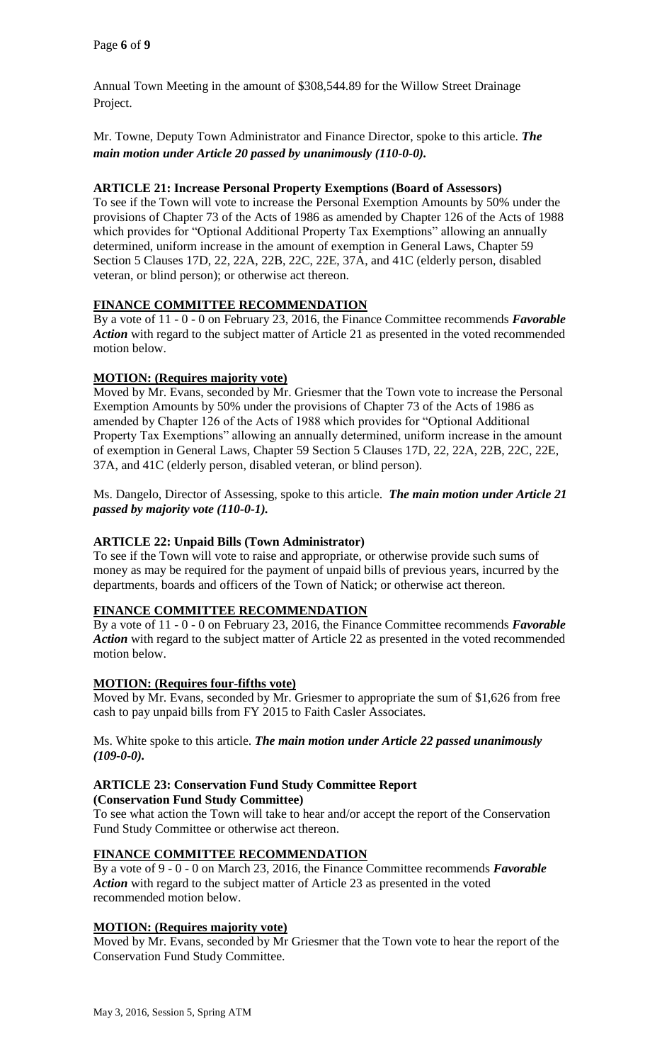Annual Town Meeting in the amount of \$308,544.89 for the Willow Street Drainage Project.

Mr. Towne, Deputy Town Administrator and Finance Director, spoke to this article. *The main motion under Article 20 passed by unanimously (110-0-0).*

#### **ARTICLE 21: Increase Personal Property Exemptions (Board of Assessors)**

To see if the Town will vote to increase the Personal Exemption Amounts by 50% under the provisions of Chapter 73 of the Acts of 1986 as amended by Chapter 126 of the Acts of 1988 which provides for "Optional Additional Property Tax Exemptions" allowing an annually determined, uniform increase in the amount of exemption in General Laws, Chapter 59 Section 5 Clauses 17D, 22, 22A, 22B, 22C, 22E, 37A, and 41C (elderly person, disabled veteran, or blind person); or otherwise act thereon.

## **FINANCE COMMITTEE RECOMMENDATION**

By a vote of 11 - 0 - 0 on February 23, 2016, the Finance Committee recommends *Favorable Action* with regard to the subject matter of Article 21 as presented in the voted recommended motion below.

## **MOTION: (Requires majority vote)**

Moved by Mr. Evans, seconded by Mr. Griesmer that the Town vote to increase the Personal Exemption Amounts by 50% under the provisions of Chapter 73 of the Acts of 1986 as amended by Chapter 126 of the Acts of 1988 which provides for "Optional Additional Property Tax Exemptions" allowing an annually determined, uniform increase in the amount of exemption in General Laws, Chapter 59 Section 5 Clauses 17D, 22, 22A, 22B, 22C, 22E, 37A, and 41C (elderly person, disabled veteran, or blind person).

Ms. Dangelo, Director of Assessing, spoke to this article. *The main motion under Article 21 passed by majority vote (110-0-1).*

## **ARTICLE 22: Unpaid Bills (Town Administrator)**

To see if the Town will vote to raise and appropriate, or otherwise provide such sums of money as may be required for the payment of unpaid bills of previous years, incurred by the departments, boards and officers of the Town of Natick; or otherwise act thereon.

#### **FINANCE COMMITTEE RECOMMENDATION**

By a vote of 11 - 0 - 0 on February 23, 2016, the Finance Committee recommends *Favorable Action* with regard to the subject matter of Article 22 as presented in the voted recommended motion below.

## **MOTION: (Requires four-fifths vote)**

Moved by Mr. Evans, seconded by Mr. Griesmer to appropriate the sum of \$1,626 from free cash to pay unpaid bills from FY 2015 to Faith Casler Associates.

#### Ms. White spoke to this article. *The main motion under Article 22 passed unanimously (109-0-0).*

#### **ARTICLE 23: Conservation Fund Study Committee Report (Conservation Fund Study Committee)**

To see what action the Town will take to hear and/or accept the report of the Conservation Fund Study Committee or otherwise act thereon.

## **FINANCE COMMITTEE RECOMMENDATION**

By a vote of 9 - 0 - 0 on March 23, 2016, the Finance Committee recommends *Favorable Action* with regard to the subject matter of Article 23 as presented in the voted recommended motion below.

#### **MOTION: (Requires majority vote)**

Moved by Mr. Evans, seconded by Mr Griesmer that the Town vote to hear the report of the Conservation Fund Study Committee.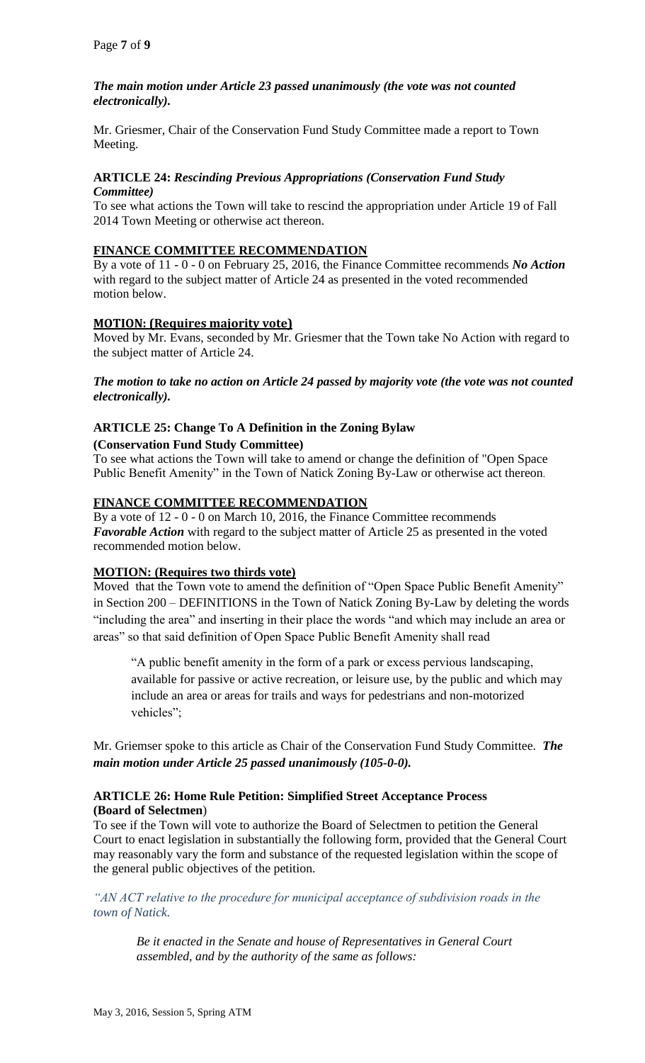## *The main motion under Article 23 passed unanimously (the vote was not counted electronically).*

Mr. Griesmer, Chair of the Conservation Fund Study Committee made a report to Town Meeting.

#### **ARTICLE 24:** *Rescinding Previous Appropriations (Conservation Fund Study Committee)*

To see what actions the Town will take to rescind the appropriation under Article 19 of Fall 2014 Town Meeting or otherwise act thereon.

#### **FINANCE COMMITTEE RECOMMENDATION**

By a vote of 11 - 0 - 0 on February 25, 2016, the Finance Committee recommends *No Action*  with regard to the subject matter of Article 24 as presented in the voted recommended motion below.

#### **MOTION: (Requires majority vote)**

Moved by Mr. Evans, seconded by Mr. Griesmer that the Town take No Action with regard to the subject matter of Article 24.

*The motion to take no action on Article 24 passed by majority vote (the vote was not counted electronically).*

## **ARTICLE 25: Change To A Definition in the Zoning Bylaw**

#### **(Conservation Fund Study Committee)**

To see what actions the Town will take to amend or change the definition of "Open Space Public Benefit Amenity" in the Town of Natick Zoning By-Law or otherwise act thereon.

## **FINANCE COMMITTEE RECOMMENDATION**

By a vote of 12 - 0 - 0 on March 10, 2016, the Finance Committee recommends *Favorable Action* with regard to the subject matter of Article 25 as presented in the voted recommended motion below.

## **MOTION: (Requires two thirds vote)**

Moved that the Town vote to amend the definition of "Open Space Public Benefit Amenity" in Section 200 – DEFINITIONS in the Town of Natick Zoning By-Law by deleting the words "including the area" and inserting in their place the words "and which may include an area or areas" so that said definition of Open Space Public Benefit Amenity shall read

"A public benefit amenity in the form of a park or excess pervious landscaping, available for passive or active recreation, or leisure use, by the public and which may include an area or areas for trails and ways for pedestrians and non-motorized vehicles";

Mr. Griemser spoke to this article as Chair of the Conservation Fund Study Committee. *The main motion under Article 25 passed unanimously (105-0-0).*

#### **ARTICLE 26: Home Rule Petition: Simplified Street Acceptance Process (Board of Selectmen**)

To see if the Town will vote to authorize the Board of Selectmen to petition the General Court to enact legislation in substantially the following form, provided that the General Court may reasonably vary the form and substance of the requested legislation within the scope of the general public objectives of the petition.

*"AN ACT relative to the procedure for municipal acceptance of subdivision roads in the town of Natick.*

*Be it enacted in the Senate and house of Representatives in General Court assembled, and by the authority of the same as follows:*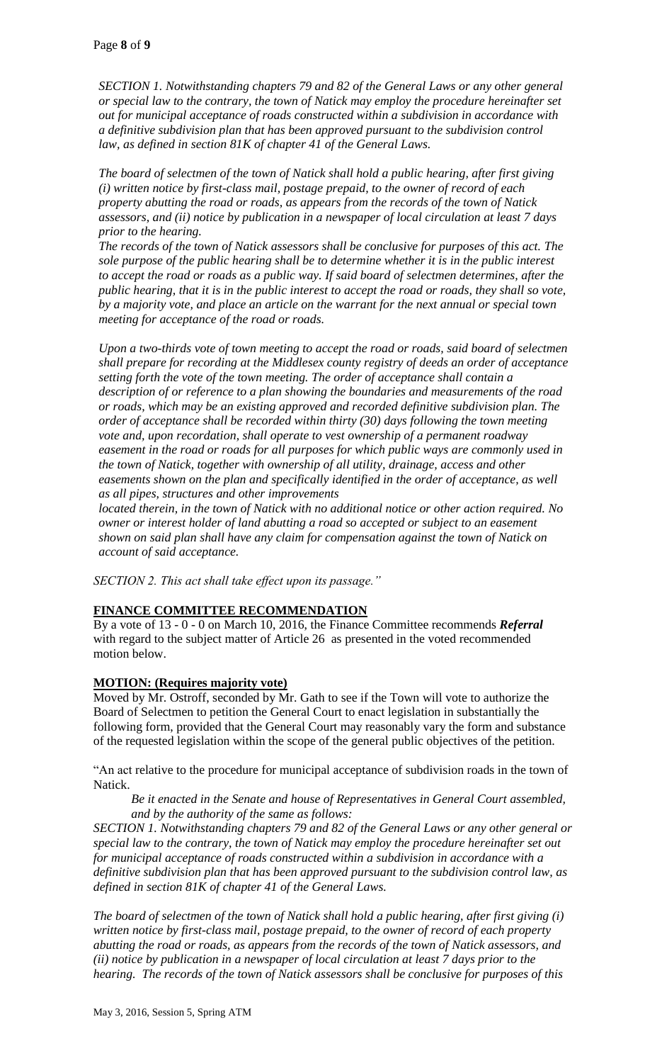*SECTION 1. Notwithstanding chapters 79 and 82 of the General Laws or any other general or special law to the contrary, the town of Natick may employ the procedure hereinafter set out for municipal acceptance of roads constructed within a subdivision in accordance with a definitive subdivision plan that has been approved pursuant to the subdivision control law, as defined in section 81K of chapter 41 of the General Laws.*

*The board of selectmen of the town of Natick shall hold a public hearing, after first giving (i) written notice by first-class mail, postage prepaid, to the owner of record of each property abutting the road or roads, as appears from the records of the town of Natick assessors, and (ii) notice by publication in a newspaper of local circulation at least 7 days prior to the hearing.*

*The records of the town of Natick assessors shall be conclusive for purposes of this act. The sole purpose of the public hearing shall be to determine whether it is in the public interest to accept the road or roads as a public way. If said board of selectmen determines, after the public hearing, that it is in the public interest to accept the road or roads, they shall so vote, by a majority vote, and place an article on the warrant for the next annual or special town meeting for acceptance of the road or roads.*

*Upon a two-thirds vote of town meeting to accept the road or roads, said board of selectmen shall prepare for recording at the Middlesex county registry of deeds an order of acceptance setting forth the vote of the town meeting. The order of acceptance shall contain a description of or reference to a plan showing the boundaries and measurements of the road or roads, which may be an existing approved and recorded definitive subdivision plan. The order of acceptance shall be recorded within thirty (30) days following the town meeting vote and, upon recordation, shall operate to vest ownership of a permanent roadway easement in the road or roads for all purposes for which public ways are commonly used in the town of Natick, together with ownership of all utility, drainage, access and other easements shown on the plan and specifically identified in the order of acceptance, as well as all pipes, structures and other improvements*

*located therein, in the town of Natick with no additional notice or other action required. No owner or interest holder of land abutting a road so accepted or subject to an easement shown on said plan shall have any claim for compensation against the town of Natick on account of said acceptance.*

*SECTION 2. This act shall take effect upon its passage."*

## **FINANCE COMMITTEE RECOMMENDATION**

By a vote of 13 - 0 - 0 on March 10, 2016, the Finance Committee recommends *Referral*  with regard to the subject matter of Article 26 as presented in the voted recommended motion below.

## **MOTION: (Requires majority vote)**

Moved by Mr. Ostroff, seconded by Mr. Gath to see if the Town will vote to authorize the Board of Selectmen to petition the General Court to enact legislation in substantially the following form, provided that the General Court may reasonably vary the form and substance of the requested legislation within the scope of the general public objectives of the petition.

"An act relative to the procedure for municipal acceptance of subdivision roads in the town of Natick.

*Be it enacted in the Senate and house of Representatives in General Court assembled, and by the authority of the same as follows:*

*SECTION 1. Notwithstanding chapters 79 and 82 of the General Laws or any other general or special law to the contrary, the town of Natick may employ the procedure hereinafter set out for municipal acceptance of roads constructed within a subdivision in accordance with a definitive subdivision plan that has been approved pursuant to the subdivision control law, as defined in section 81K of chapter 41 of the General Laws.* 

*The board of selectmen of the town of Natick shall hold a public hearing, after first giving (i) written notice by first-class mail, postage prepaid, to the owner of record of each property abutting the road or roads, as appears from the records of the town of Natick assessors, and (ii) notice by publication in a newspaper of local circulation at least 7 days prior to the hearing. The records of the town of Natick assessors shall be conclusive for purposes of this*